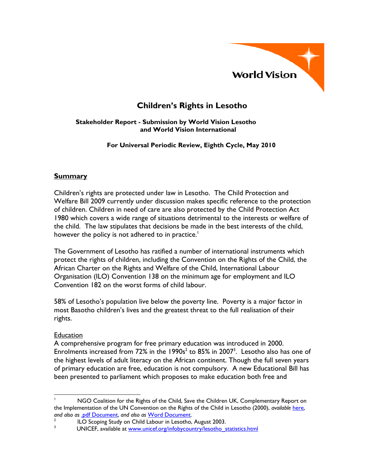

# **Children's Rights in Lesotho**

#### **Stakeholder Report - Submission by World Vision Lesotho and World Vision International**

#### **For Universal Periodic Review, Eighth Cycle, May 2010**

## **Summary**

Children's rights are protected under law in Lesotho. The Child Protection and Welfare Bill 2009 currently under discussion makes specific reference to the protection of children. Children in need of care are also protected by the Child Protection Act 1980 which covers a wide range of situations detrimental to the interests or welfare of the child. The law stipulates that decisions be made in the best interests of the child, however the policy is not adhered to in practice.<sup>1</sup>

The Government of Lesotho has ratified a number of international instruments which protect the rights of children, including the Convention on the Rights of the Child, the African Charter on the Rights and Welfare of the Child, International Labour Organisation (ILO) Convention 138 on the minimum age for employment and ILO Convention 182 on the worst forms of child labour.

58% of Lesotho's population live below the poverty line. Poverty is a major factor in most Basotho children's lives and the greatest threat to the full realisation of their rights.

#### **Education**

A comprehensive program for free primary education was introduced in 2000. Enrolments increased from 72% in the  $1990s^2$  to 85% in 2007<sup>3</sup>. Lesotho also has one of the highest levels of adult literacy on the African continent. Though the full seven years of primary education are free, education is not compulsory. A new Educational Bill has been presented to parliament which proposes to make education both free and

 $\overline{a}$ 1 NGO Coalition for the Rights of the Child, Save the Children UK, Complementary Report on the Implementation of the UN Convention on the Rights of the Child in Lesotho (2000), *available* here, *and also as* .pdf Document, *and also as* Word Document. 2

 $\frac{1}{10}$  ILO Scoping Study on Child Labour in Lesotho, August 2003.

UNICEF, available at www.unicef.org/infobycountry/lesotho\_statistics.html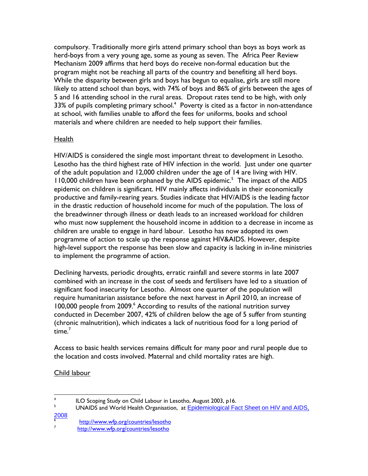compulsory. Traditionally more girls attend primary school than boys as boys work as herd-boys from a very young age, some as young as seven. The Africa Peer Review Mechanism 2009 affirms that herd boys do receive non-formal education but the program might not be reaching all parts of the country and benefiting all herd boys. While the disparity between girls and boys has begun to equalise, girls are still more likely to attend school than boys, with 74% of boys and 86% of girls between the ages of 5 and 16 attending school in the rural areas. Dropout rates tend to be high, with only 33% of pupils completing primary school. $4$  Poverty is cited as a factor in non-attendance at school, with families unable to afford the fees for uniforms, books and school materials and where children are needed to help support their families.

## **Health**

HIV/AIDS is considered the single most important threat to development in Lesotho. Lesotho has the third highest rate of HIV infection in the world. Just under one quarter of the adult population and 12,000 children under the age of 14 are living with HIV. 110,000 children have been orphaned by the AIDS epidemic.<sup>5</sup> The impact of the AIDS epidemic on children is significant. HIV mainly affects individuals in their economically productive and family-rearing years. Studies indicate that HIV/AIDS is the leading factor in the drastic reduction of household income for much of the population. The loss of the breadwinner through illness or death leads to an increased workload for children who must now supplement the household income in addition to a decrease in income as children are unable to engage in hard labour. Lesotho has now adopted its own programme of action to scale up the response against HIV&AIDS. However, despite high-level support the response has been slow and capacity is lacking in in-line ministries to implement the programme of action.

Declining harvests, periodic droughts, erratic rainfall and severe storms in late 2007 combined with an increase in the cost of seeds and fertilisers have led to a situation of significant food insecurity for Lesotho. Almost one quarter of the population will require humanitarian assistance before the next harvest in April 2010, an increase of 100,000 people from 2009.<sup>6</sup> According to results of the national nutrition survey conducted in December 2007, 42% of children below the age of 5 suffer from stunting (chronic malnutrition), which indicates a lack of nutritious food for a long period of time. $^7$ 

Access to basic health services remains difficult for many poor and rural people due to the location and costs involved. Maternal and child mortality rates are high.

Child labour

 $\frac{1}{4}$ <sup>4</sup> ILO Scoping Study on Child Labour in Lesotho, August 2003, p16.<br><sup>5</sup> 1 INAIDS and World Health Organization, at Enidomialogical Fo

UNAIDS and World Health Organisation, at Epidemiological Fact Sheet on HIV and AIDS,  $\frac{2008}{6}$ 

http://www.wfp.org/countries/lesotho

<sup>7</sup> http://www.wfp.org/countries/lesotho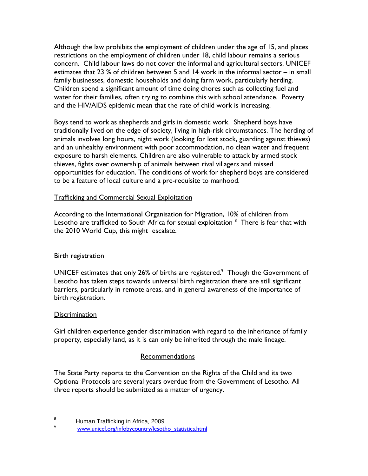Although the law prohibits the employment of children under the age of 15, and places restrictions on the employment of children under 18, child labour remains a serious concern. Child labour laws do not cover the informal and agricultural sectors. UNICEF estimates that 23 % of children between 5 and 14 work in the informal sector – in small family businesses, domestic households and doing farm work, particularly herding. Children spend a significant amount of time doing chores such as collecting fuel and water for their families, often trying to combine this with school attendance. Poverty and the HIV/AIDS epidemic mean that the rate of child work is increasing.

Boys tend to work as shepherds and girls in domestic work. Shepherd boys have traditionally lived on the edge of society, living in high-risk circumstances. The herding of animals involves long hours, night work (looking for lost stock, guarding against thieves) and an unhealthy environment with poor accommodation, no clean water and frequent exposure to harsh elements. Children are also vulnerable to attack by armed stock thieves, fights over ownership of animals between rival villagers and missed opportunities for education. The conditions of work for shepherd boys are considered to be a feature of local culture and a pre-requisite to manhood.

## Trafficking and Commercial Sexual Exploitation

According to the International Organisation for Migration, 10% of children from Lesotho are trafficked to South Africa for sexual exploitation  $^8\,$  There is fear that with the 2010 World Cup, this might escalate.

## **Birth registration**

UNICEF estimates that only 26% of births are registered.<sup>9</sup> Though the Government of Lesotho has taken steps towards universal birth registration there are still significant barriers, particularly in remote areas, and in general awareness of the importance of birth registration.

## **Discrimination**

Girl children experience gender discrimination with regard to the inheritance of family property, especially land, as it is can only be inherited through the male lineage.

## Recommendations

The State Party reports to the Convention on the Rights of the Child and its two Optional Protocols are several years overdue from the Government of Lesotho. All three reports should be submitted as a matter of urgency.

<sup>-&</sup>lt;br>8 Human Trafficking in Africa, 2009

<sup>9</sup> www.unicef.org/infobycountry/lesotho\_statistics.html